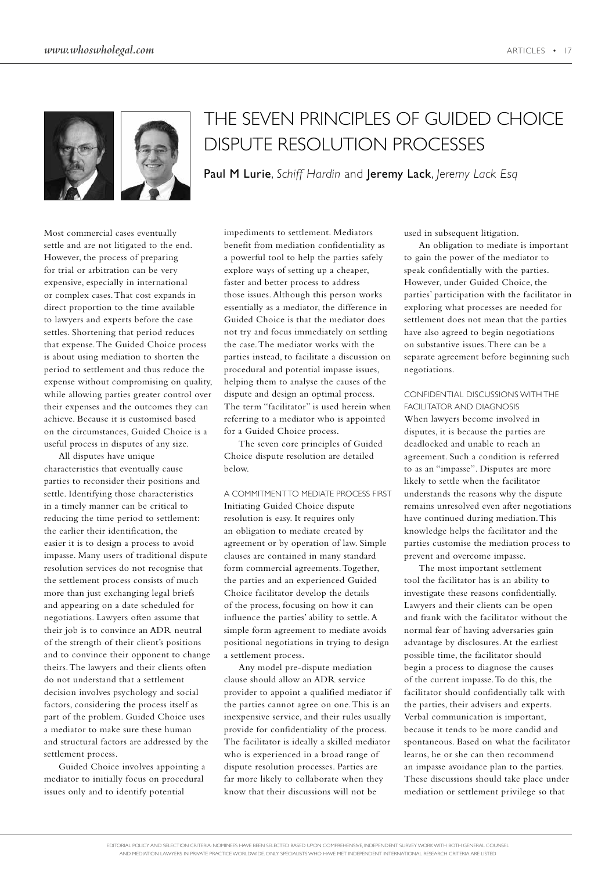

# THE SEVEN PRINCIPLES OF GUIDED CHOICE DISPUTE RESOLUTION PROCESSES

Paul M Lurie, *Schiff Hardin* and Jeremy Lack, *Jeremy Lack Esq*

Most commercial cases eventually settle and are not litigated to the end. However, the process of preparing for trial or arbitration can be very expensive, especially in international or complex cases. That cost expands in direct proportion to the time available to lawyers and experts before the case settles. Shortening that period reduces that expense. The Guided Choice process is about using mediation to shorten the period to settlement and thus reduce the expense without compromising on quality, while allowing parties greater control over their expenses and the outcomes they can achieve. Because it is customised based on the circumstances, Guided Choice is a useful process in disputes of any size.

All disputes have unique characteristics that eventually cause parties to reconsider their positions and settle. Identifying those characteristics in a timely manner can be critical to reducing the time period to settlement: the earlier their identification, the easier it is to design a process to avoid impasse. Many users of traditional dispute resolution services do not recognise that the settlement process consists of much more than just exchanging legal briefs and appearing on a date scheduled for negotiations. Lawyers often assume that their job is to convince an ADR neutral of the strength of their client's positions and to convince their opponent to change theirs. The lawyers and their clients often do not understand that a settlement decision involves psychology and social factors, considering the process itself as part of the problem. Guided Choice uses a mediator to make sure these human and structural factors are addressed by the settlement process.

Guided Choice involves appointing a mediator to initially focus on procedural issues only and to identify potential

impediments to settlement. Mediators benefit from mediation confidentiality as a powerful tool to help the parties safely explore ways of setting up a cheaper, faster and better process to address those issues. Although this person works essentially as a mediator, the difference in Guided Choice is that the mediator does not try and focus immediately on settling the case. The mediator works with the parties instead, to facilitate a discussion on procedural and potential impasse issues, helping them to analyse the causes of the dispute and design an optimal process. The term "facilitator" is used herein when referring to a mediator who is appointed for a Guided Choice process.

The seven core principles of Guided Choice dispute resolution are detailed below.

A COMMITMENT TO MEDIATE PROCESS FIRST Initiating Guided Choice dispute resolution is easy. It requires only an obligation to mediate created by agreement or by operation of law. Simple clauses are contained in many standard form commercial agreements. Together, the parties and an experienced Guided Choice facilitator develop the details of the process, focusing on how it can influence the parties' ability to settle. A simple form agreement to mediate avoids positional negotiations in trying to design a settlement process.

Any model pre-dispute mediation clause should allow an ADR service provider to appoint a qualified mediator if the parties cannot agree on one. This is an inexpensive service, and their rules usually provide for confidentiality of the process. The facilitator is ideally a skilled mediator who is experienced in a broad range of dispute resolution processes. Parties are far more likely to collaborate when they know that their discussions will not be

used in subsequent litigation.

An obligation to mediate is important to gain the power of the mediator to speak confidentially with the parties. However, under Guided Choice, the parties' participation with the facilitator in exploring what processes are needed for settlement does not mean that the parties have also agreed to begin negotiations on substantive issues. There can be a separate agreement before beginning such negotiations.

CONFIDENTIAL DISCUSSIONS WITH THE FACILITATOR AND DIAGNOSIS When lawyers become involved in disputes, it is because the parties are deadlocked and unable to reach an agreement. Such a condition is referred to as an "impasse". Disputes are more likely to settle when the facilitator understands the reasons why the dispute remains unresolved even after negotiations have continued during mediation. This knowledge helps the facilitator and the parties customise the mediation process to prevent and overcome impasse.

The most important settlement tool the facilitator has is an ability to investigate these reasons confidentially. Lawyers and their clients can be open and frank with the facilitator without the normal fear of having adversaries gain advantage by disclosures. At the earliest possible time, the facilitator should begin a process to diagnose the causes of the current impasse. To do this, the facilitator should confidentially talk with the parties, their advisers and experts. Verbal communication is important, because it tends to be more candid and spontaneous. Based on what the facilitator learns, he or she can then recommend an impasse avoidance plan to the parties. These discussions should take place under mediation or settlement privilege so that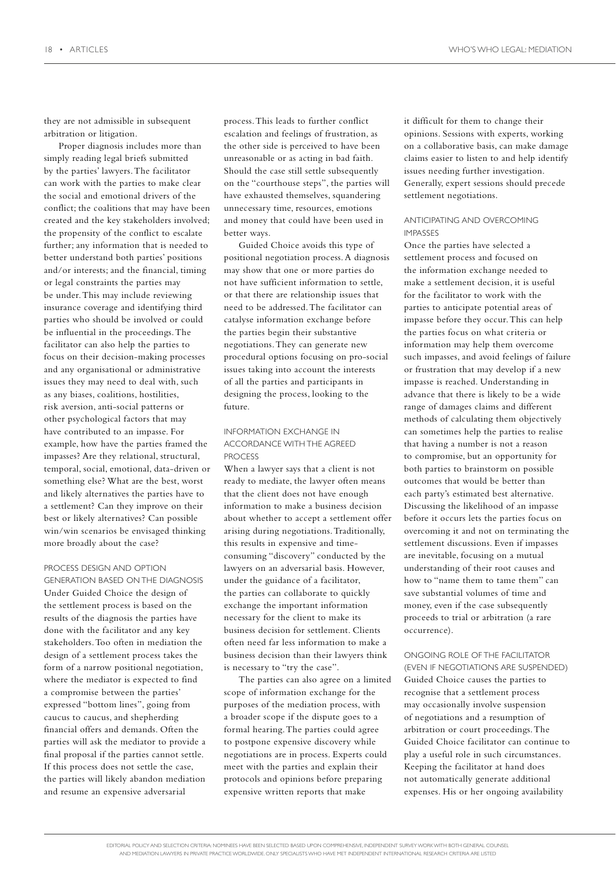they are not admissible in subsequent arbitration or litigation.

Proper diagnosis includes more than simply reading legal briefs submitted by the parties' lawyers. The facilitator can work with the parties to make clear the social and emotional drivers of the conflict; the coalitions that may have been created and the key stakeholders involved; the propensity of the conflict to escalate further; any information that is needed to better understand both parties' positions and/or interests; and the financial, timing or legal constraints the parties may be under. This may include reviewing insurance coverage and identifying third parties who should be involved or could be influential in the proceedings. The facilitator can also help the parties to focus on their decision-making processes and any organisational or administrative issues they may need to deal with, such as any biases, coalitions, hostilities, risk aversion, anti-social patterns or other psychological factors that may have contributed to an impasse. For example, how have the parties framed the impasses? Are they relational, structural, temporal, social, emotional, data-driven or something else? What are the best, worst and likely alternatives the parties have to a settlement? Can they improve on their best or likely alternatives? Can possible win/win scenarios be envisaged thinking more broadly about the case?

#### PROCESS DESIGN AND OPTION

GENERATION BASED ON THE DIAGNOSIS Under Guided Choice the design of the settlement process is based on the results of the diagnosis the parties have done with the facilitator and any key stakeholders. Too often in mediation the design of a settlement process takes the form of a narrow positional negotiation, where the mediator is expected to find a compromise between the parties' expressed "bottom lines", going from caucus to caucus, and shepherding financial offers and demands. Often the parties will ask the mediator to provide a final proposal if the parties cannot settle. If this process does not settle the case, the parties will likely abandon mediation and resume an expensive adversarial

process. This leads to further conflict escalation and feelings of frustration, as the other side is perceived to have been unreasonable or as acting in bad faith. Should the case still settle subsequently on the "courthouse steps", the parties will have exhausted themselves, squandering unnecessary time, resources, emotions and money that could have been used in better ways.

Guided Choice avoids this type of positional negotiation process. A diagnosis may show that one or more parties do not have sufficient information to settle, or that there are relationship issues that need to be addressed. The facilitator can catalyse information exchange before the parties begin their substantive negotiations. They can generate new procedural options focusing on pro-social issues taking into account the interests of all the parties and participants in designing the process, looking to the future.

### INFORMATION EXCHANGE IN ACCORDANCE WITH THE AGREED **PROCESS**

When a lawyer says that a client is not ready to mediate, the lawyer often means that the client does not have enough information to make a business decision about whether to accept a settlement offer arising during negotiations. Traditionally, this results in expensive and timeconsuming "discovery" conducted by the lawyers on an adversarial basis. However, under the guidance of a facilitator, the parties can collaborate to quickly exchange the important information necessary for the client to make its business decision for settlement. Clients often need far less information to make a business decision than their lawyers think is necessary to "try the case".

The parties can also agree on a limited scope of information exchange for the purposes of the mediation process, with a broader scope if the dispute goes to a formal hearing. The parties could agree to postpone expensive discovery while negotiations are in process. Experts could meet with the parties and explain their protocols and opinions before preparing expensive written reports that make

it difficult for them to change their opinions. Sessions with experts, working on a collaborative basis, can make damage claims easier to listen to and help identify issues needing further investigation. Generally, expert sessions should precede settlement negotiations.

### ANTICIPATING AND OVERCOMING IMPASSES

Once the parties have selected a settlement process and focused on the information exchange needed to make a settlement decision, it is useful for the facilitator to work with the parties to anticipate potential areas of impasse before they occur. This can help the parties focus on what criteria or information may help them overcome such impasses, and avoid feelings of failure or frustration that may develop if a new impasse is reached. Understanding in advance that there is likely to be a wide range of damages claims and different methods of calculating them objectively can sometimes help the parties to realise that having a number is not a reason to compromise, but an opportunity for both parties to brainstorm on possible outcomes that would be better than each party's estimated best alternative. Discussing the likelihood of an impasse before it occurs lets the parties focus on overcoming it and not on terminating the settlement discussions. Even if impasses are inevitable, focusing on a mutual understanding of their root causes and how to "name them to tame them" can save substantial volumes of time and money, even if the case subsequently proceeds to trial or arbitration (a rare occurrence).

## ONGOING ROLE OF THE FACILITATOR

(EVEN IF NEGOTIATIONS ARE SUSPENDED) Guided Choice causes the parties to recognise that a settlement process may occasionally involve suspension of negotiations and a resumption of arbitration or court proceedings. The Guided Choice facilitator can continue to play a useful role in such circumstances. Keeping the facilitator at hand does not automatically generate additional expenses. His or her ongoing availability